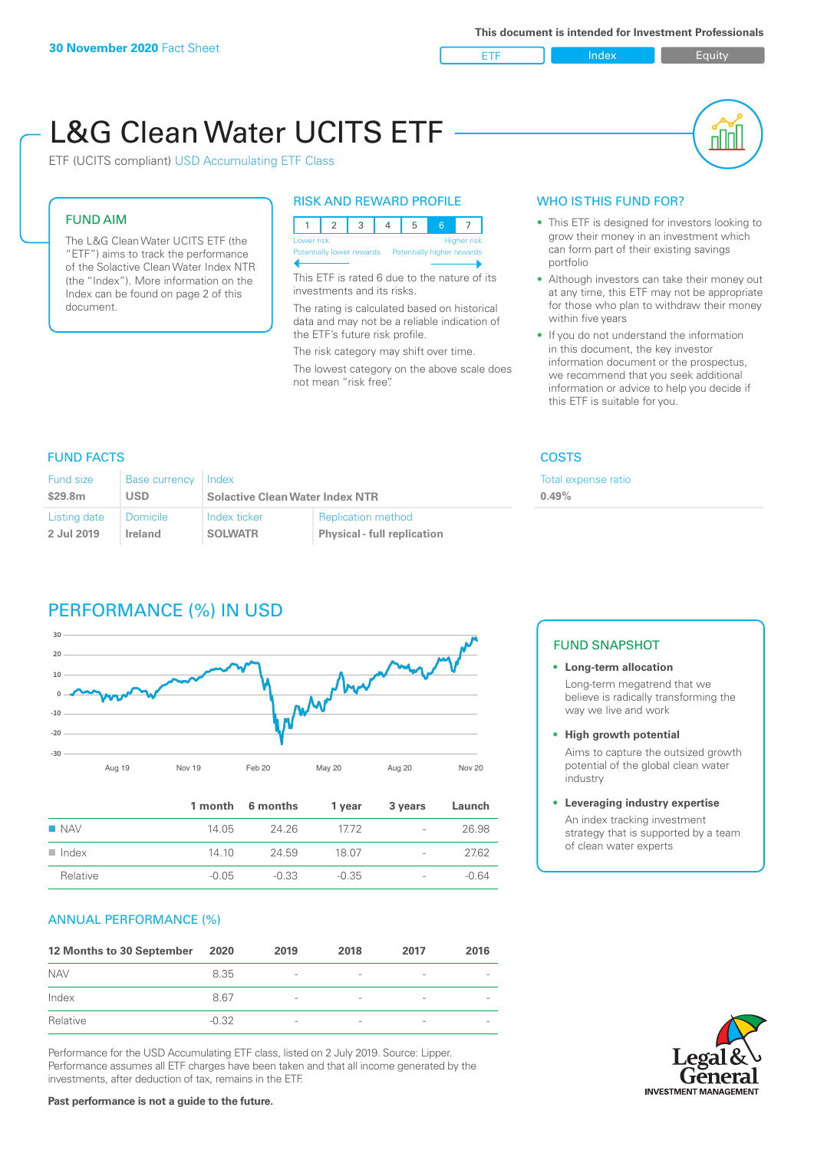

# L&G Clean Water UCITS ETF



### ETF (UCITS compliant) USD Accumulating ETF Class

#### FUND AIM

The L&G Clean Water UCITS ETF (the "ETF") aims to track the performance of the Solactive Clean Water Index NTR (the "Index"). More information on the Index can be found on page 2 of this document.

# RISK AND REWARD PROFILE

|                           | Lower risk<br><b>Higher risk</b> |  |  |  |                            |  |  |  |  |
|---------------------------|----------------------------------|--|--|--|----------------------------|--|--|--|--|
| Potentially lower rewards |                                  |  |  |  | Potentially higher rewards |  |  |  |  |
|                           |                                  |  |  |  |                            |  |  |  |  |

This ETF is rated 6 due to the nature of its investments and its risks.

The rating is calculated based on historical data and may not be a reliable indication of the ETF's future risk profile.

The risk category may shift over time. The lowest category on the above scale does not mean "risk free".

# WHO IS THIS FUND FOR?

- This ETF is designed for investors looking to grow their money in an investment which can form part of their existing savings portfolio
- Although investors can take their money out at any time, this ETF may not be appropriate for those who plan to withdraw their money within five years
- If you do not understand the information in this document, the key investor information document or the prospectus, we recommend that you seek additional information or advice to help you decide if this ETF is suitable for you.

otal expense ratio

**0.49%**

# FUND FACTS COSTS

| Fund size    | <b>Base currency</b> | Index                                  |                                    | Τo |
|--------------|----------------------|----------------------------------------|------------------------------------|----|
| \$29.8m      | USD                  | <b>Solactive Clean Water Index NTR</b> |                                    |    |
| Listing date | Domicile             | Index ticker                           | <b>Replication method</b>          |    |
| 2 Jul 2019   | Ireland              | <b>SOLWATR</b>                         | <b>Physical - full replication</b> |    |

# PERFORMANCE (%) IN USD



|                      |         | 1 month 6 months | 1 year  | 3 years                  | Launch  |
|----------------------|---------|------------------|---------|--------------------------|---------|
| $\blacksquare$ NAV   | 14.05   | 24.26            | 17.72   | $\sim$                   | 26.98   |
| $\blacksquare$ Index | 14 10   | 24.59            | 18.07   | $\sim$                   | 27.62   |
| Relative             | $-0.05$ | $-0.33$          | $-0.35$ | $\overline{\phantom{a}}$ | $-0.64$ |

# ANNUAL PERFORMANCE (%)

| 12 Months to 30 September | 2020    | 2019                     | 2018   | 2017                     | 2016                     |
|---------------------------|---------|--------------------------|--------|--------------------------|--------------------------|
| <b>NAV</b>                | 8.35    | $\overline{\phantom{a}}$ | $\sim$ | $\overline{\phantom{a}}$ | $\overline{\phantom{a}}$ |
| Index                     | 8.67    | $\overline{\phantom{a}}$ |        | $\qquad \qquad$          | $\overline{\phantom{a}}$ |
| Relative                  | $-0.32$ | $\qquad \qquad$          |        | $\overline{\phantom{0}}$ | $\overline{\phantom{a}}$ |

Performance for the USD Accumulating ETF class, listed on 2 July 2019. Source: Lipper. Performance assumes all ETF charges have been taken and that all income generated by the investments, after deduction of tax, remains in the ETF.

#### FUND SNAPSHOT

- **• Long-term allocation** Long-term megatrend that we believe is radically transforming the way we live and work
- **• High growth potential**

Aims to capture the outsized growth potential of the global clean water industry

#### **• Leveraging industry expertise**

An index tracking investment strategy that is supported by a team of clean water experts

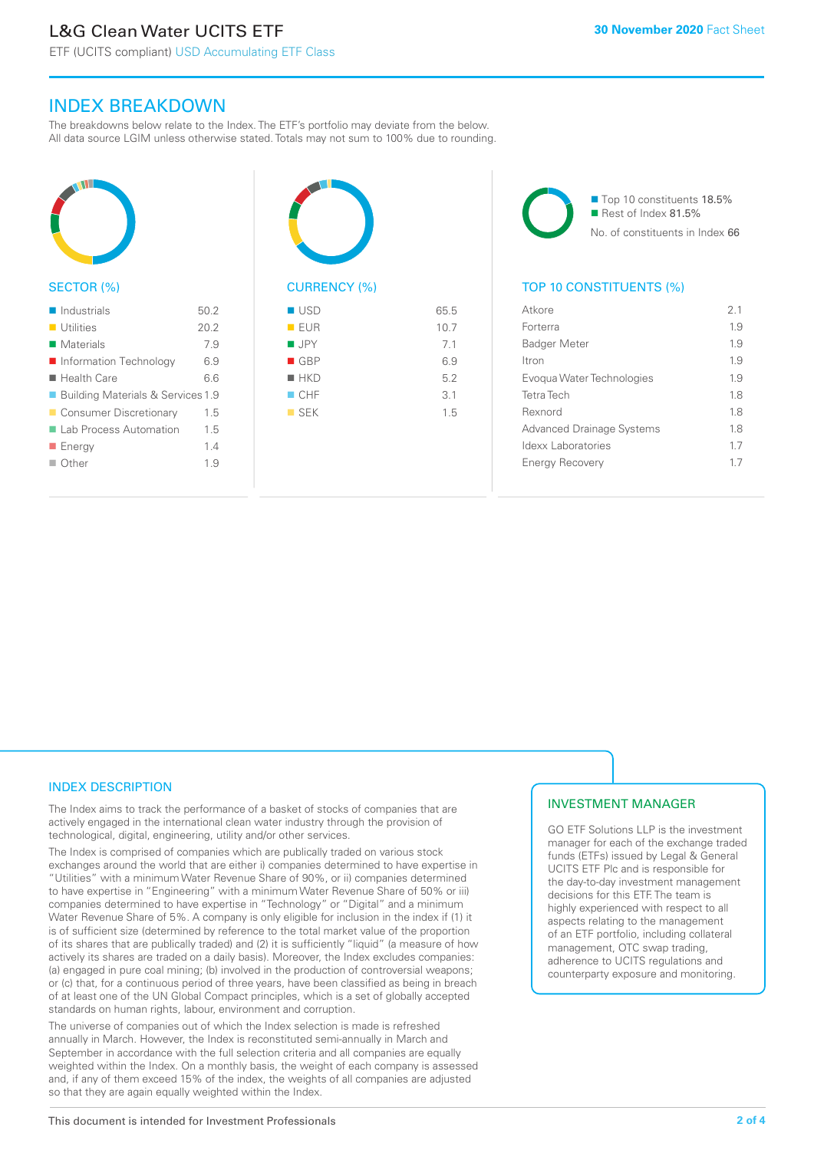ETF (UCITS compliant) USD Accumulating ETF Class

# INDEX BREAKDOWN

The breakdowns below relate to the Index. The ETF's portfolio may deviate from the below. All data source LGIM unless otherwise stated. Totals may not sum to 100% due to rounding.



### SECTOR (%)

| $\blacksquare$ Industrials          | 50.2 |
|-------------------------------------|------|
| $\blacksquare$ Utilities            | 20.2 |
| $\blacksquare$ Materials            | 7.9  |
| ■ Information Technology            | 6.9  |
| $\blacksquare$ Health Care          | 66   |
| ■ Building Materials & Services 1.9 |      |
| ■ Consumer Discretionary            | 1.5  |
| ■ Lab Process Automation            | 1.5  |
| $\blacksquare$ Energy               | 1.4  |
| $\Box$ Other                        | 19   |
|                                     |      |



# $\blacksquare$  USD 65.5  $\blacksquare$  FUR 10.7  $\blacksquare$  JPY 7.1  $\Box$  GBP 6.9  $H$ KD 5.2  $CHF$  3.1

 $SFK$  1.5



# TOP 10 CONSTITUENTS (%)

| Atkore                           | 2.1 |
|----------------------------------|-----|
| Forterra                         | 1.9 |
| <b>Badger Meter</b>              | 1.9 |
| Itron                            | 1.9 |
| Evogua Water Technologies        | 1.9 |
| <b>Tetra Tech</b>                | 1.8 |
| Rexnord                          | 18  |
| <b>Advanced Drainage Systems</b> | 18  |
| Idexx Laboratories               | 17  |
| <b>Energy Recovery</b>           | 17  |
|                                  |     |

# INDEX DESCRIPTION

The Index aims to track the performance of a basket of stocks of companies that are actively engaged in the international clean water industry through the provision of technological, digital, engineering, utility and/or other services.

The Index is comprised of companies which are publically traded on various stock exchanges around the world that are either i) companies determined to have expertise in "Utilities" with a minimum Water Revenue Share of 90%, or ii) companies determined to have expertise in "Engineering" with a minimum Water Revenue Share of 50% or iii) companies determined to have expertise in "Technology" or "Digital" and a minimum Water Revenue Share of 5%. A company is only eligible for inclusion in the index if (1) it is of sufficient size (determined by reference to the total market value of the proportion of its shares that are publically traded) and (2) it is sufficiently "liquid" (a measure of how actively its shares are traded on a daily basis). Moreover, the Index excludes companies: (a) engaged in pure coal mining; (b) involved in the production of controversial weapons; or (c) that, for a continuous period of three years, have been classified as being in breach of at least one of the UN Global Compact principles, which is a set of globally accepted standards on human rights, labour, environment and corruption.

The universe of companies out of which the Index selection is made is refreshed annually in March. However, the Index is reconstituted semi-annually in March and September in accordance with the full selection criteria and all companies are equally weighted within the Index. On a monthly basis, the weight of each company is assessed and, if any of them exceed 15% of the index, the weights of all companies are adjusted so that they are again equally weighted within the Index.

# INVESTMENT MANAGER

GO ETF Solutions LLP is the investment manager for each of the exchange traded funds (ETFs) issued by Legal & General UCITS ETF Plc and is responsible for the day-to-day investment management decisions for this ETF. The team is highly experienced with respect to all aspects relating to the management of an ETF portfolio, including collateral management, OTC swap trading, adherence to UCITS regulations and counterparty exposure and monitoring.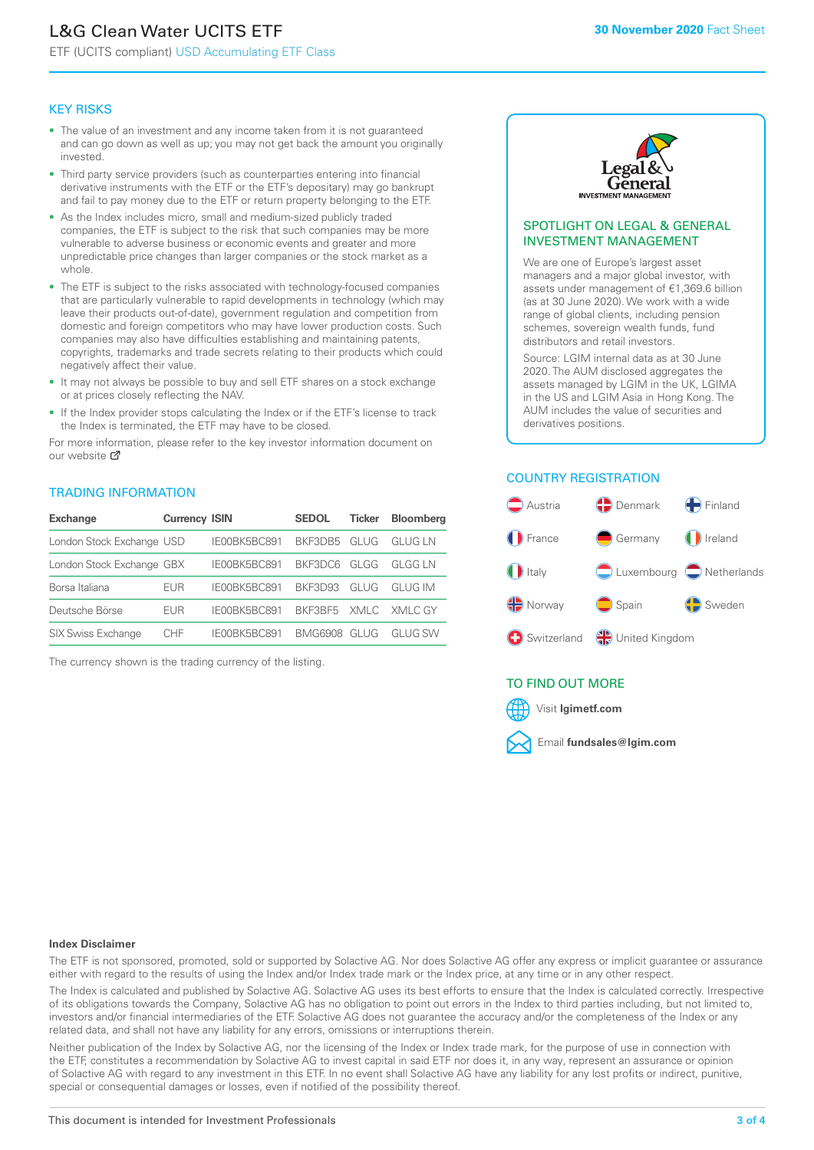# L&G Clean Water UCITS ETF

ETF (UCITS compliant) USD Accumulating ETF Class

#### KEY RISKS

- The value of an investment and any income taken from it is not guaranteed and can go down as well as up; you may not get back the amount you originally invested.
- Third party service providers (such as counterparties entering into financial derivative instruments with the ETF or the ETF's depositary) may go bankrupt and fail to pay money due to the ETF or return property belonging to the ETF.
- As the Index includes micro, small and medium-sized publicly traded companies, the ETF is subject to the risk that such companies may be more vulnerable to adverse business or economic events and greater and more unpredictable price changes than larger companies or the stock market as a whole.
- The ETF is subject to the risks associated with technology-focused companies that are particularly vulnerable to rapid developments in technology (which may leave their products out-of-date), government regulation and competition from domestic and foreign competitors who may have lower production costs. Such companies may also have difficulties establishing and maintaining patents, copyrights, trademarks and trade secrets relating to their products which could negatively affect their value.
- It may not always be possible to buy and sell ETF shares on a stock exchange or at prices closely reflecting the NAV.
- If the Index provider stops calculating the Index or if the ETF's license to track the Index is terminated, the ETF may have to be closed.

For more in[form](https://www.lgimetf.com/)ation, please refer to the key investor information document on our website Ø

#### TRADING INFORMATION

| <b>Exchange</b>           | <b>Currency ISIN</b> |              | <b>SEDOL</b>   | <b>Ticker</b> | <b>Bloomberg</b> |
|---------------------------|----------------------|--------------|----------------|---------------|------------------|
| London Stock Exchange USD |                      | IE00BK5BC891 | BKF3DB5        | GLUG          | <b>GLUG LN</b>   |
| London Stock Exchange GBX |                      | IE00BK5BC891 | BKF3DC6        | GLGG          | GI GG I N        |
| Borsa Italiana            | EUR                  | IE00BK5BC891 | <b>BKE3D93</b> | GLUG          | GI UG IM         |
| Deutsche Börse            | EUR                  | IE00BK5BC891 | BKF3BF5        |               | XMLC XMLC GY     |
| <b>SIX Swiss Exchange</b> | CHE                  | IF00BK5BC891 | BMG6908        | GI UG         | GI UG SW         |

The currency shown is the trading currency of the listing.



#### SPOTLIGHT ON LEGAL & GENERAL INVESTMENT MANAGEMENT

We are one of Europe's largest asset managers and a major global investor, with assets under management of €1,369.6 billion (as at 30 June 2020). We work with a wide range of global clients, including pension schemes, sovereign wealth funds, fund distributors and retail investors.

Source: LGIM internal data as at 30 June 2020. The AUM disclosed aggregates the assets managed by LGIM in the UK, LGIMA in the US and LGIM Asia in Hong Kong. The AUM includes the value of securities and derivatives positions.

# COUNTRY REGISTRATION



# TO FIND OUT MORE



#### **Index Disclaimer**

The ETF is not sponsored, promoted, sold or supported by Solactive AG. Nor does Solactive AG offer any express or implicit guarantee or assurance either with regard to the results of using the Index and/or Index trade mark or the Index price, at any time or in any other respect.

The Index is calculated and published by Solactive AG. Solactive AG uses its best efforts to ensure that the Index is calculated correctly. Irrespective of its obligations towards the Company, Solactive AG has no obligation to point out errors in the Index to third parties including, but not limited to, investors and/or financial intermediaries of the ETF. Solactive AG does not guarantee the accuracy and/or the completeness of the Index or any related data, and shall not have any liability for any errors, omissions or interruptions therein.

Neither publication of the Index by Solactive AG, nor the licensing of the Index or Index trade mark, for the purpose of use in connection with the ETF, constitutes a recommendation by Solactive AG to invest capital in said ETF nor does it, in any way, represent an assurance or opinion of Solactive AG with regard to any investment in this ETF. In no event shall Solactive AG have any liability for any lost profits or indirect, punitive, special or consequential damages or losses, even if notified of the possibility thereof.